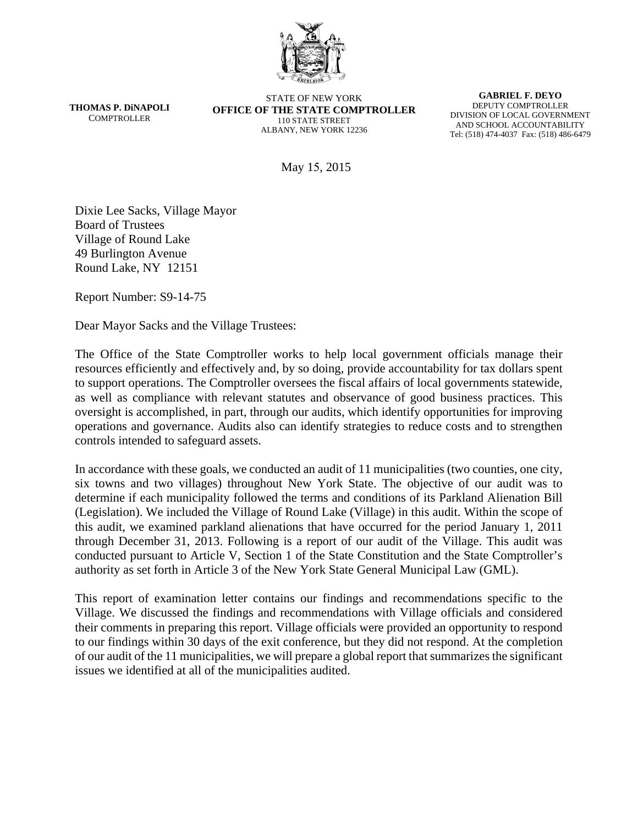

**THOMAS P. DiNAPOLI COMPTROLLER** 

STATE OF NEW YORK **OFFICE OF THE STATE COMPTROLLER**  110 STATE STREET ALBANY, NEW YORK 12236

**GABRIEL F. DEYO**  DEPUTY COMPTROLLER DIVISION OF LOCAL GOVERNMENT AND SCHOOL ACCOUNTABILITY Tel: (518) 474-4037 Fax: (518) 486-6479

May 15, 2015

Dixie Lee Sacks, Village Mayor Board of Trustees Village of Round Lake 49 Burlington Avenue Round Lake, NY 12151

Report Number: S9-14-75

Dear Mayor Sacks and the Village Trustees:

The Office of the State Comptroller works to help local government officials manage their resources efficiently and effectively and, by so doing, provide accountability for tax dollars spent to support operations. The Comptroller oversees the fiscal affairs of local governments statewide, as well as compliance with relevant statutes and observance of good business practices. This oversight is accomplished, in part, through our audits, which identify opportunities for improving operations and governance. Audits also can identify strategies to reduce costs and to strengthen controls intended to safeguard assets.

In accordance with these goals, we conducted an audit of 11 municipalities (two counties, one city, six towns and two villages) throughout New York State. The objective of our audit was to determine if each municipality followed the terms and conditions of its Parkland Alienation Bill (Legislation). We included the Village of Round Lake (Village) in this audit. Within the scope of this audit, we examined parkland alienations that have occurred for the period January 1, 2011 through December 31, 2013. Following is a report of our audit of the Village. This audit was conducted pursuant to Article V, Section 1 of the State Constitution and the State Comptroller's authority as set forth in Article 3 of the New York State General Municipal Law (GML).

This report of examination letter contains our findings and recommendations specific to the Village. We discussed the findings and recommendations with Village officials and considered their comments in preparing this report. Village officials were provided an opportunity to respond to our findings within 30 days of the exit conference, but they did not respond. At the completion of our audit of the 11 municipalities, we will prepare a global report that summarizes the significant issues we identified at all of the municipalities audited.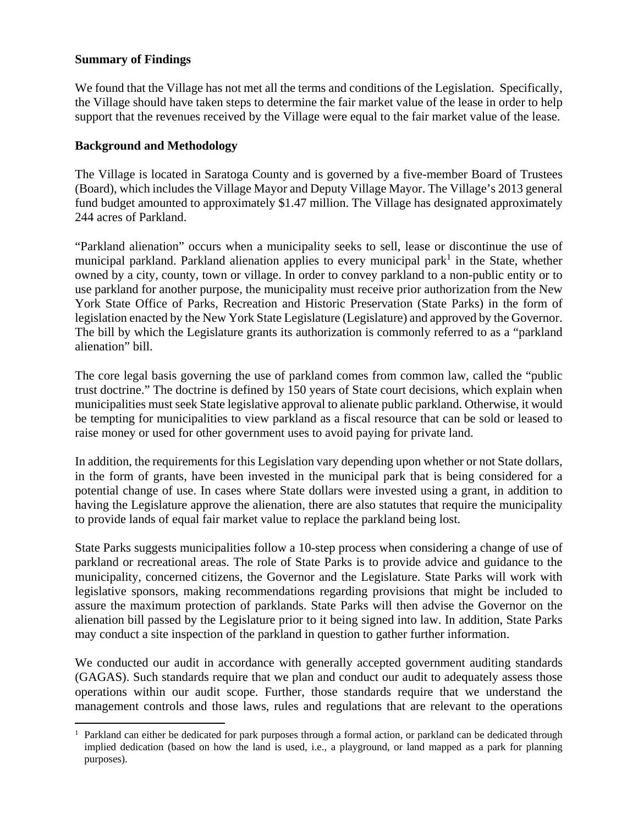#### **Summary of Findings**

 $\overline{a}$ 

We found that the Village has not met all the terms and conditions of the Legislation. Specifically, the Village should have taken steps to determine the fair market value of the lease in order to help support that the revenues received by the Village were equal to the fair market value of the lease.

#### **Background and Methodology**

The Village is located in Saratoga County and is governed by a five-member Board of Trustees (Board), which includes the Village Mayor and Deputy Village Mayor. The Village's 2013 general fund budget amounted to approximately \$1.47 million. The Village has designated approximately 244 acres of Parkland.

"Parkland alienation" occurs when a municipality seeks to sell, lease or discontinue the use of municipal parkland. Parkland alienation applies to every municipal park<sup>1</sup> in the State, whether owned by a city, county, town or village. In order to convey parkland to a non-public entity or to use parkland for another purpose, the municipality must receive prior authorization from the New York State Office of Parks, Recreation and Historic Preservation (State Parks) in the form of legislation enacted by the New York State Legislature (Legislature) and approved by the Governor. The bill by which the Legislature grants its authorization is commonly referred to as a "parkland alienation" bill.

The core legal basis governing the use of parkland comes from common law, called the "public trust doctrine." The doctrine is defined by 150 years of State court decisions, which explain when municipalities must seek State legislative approval to alienate public parkland. Otherwise, it would be tempting for municipalities to view parkland as a fiscal resource that can be sold or leased to raise money or used for other government uses to avoid paying for private land.

In addition, the requirements for this Legislation vary depending upon whether or not State dollars, in the form of grants, have been invested in the municipal park that is being considered for a potential change of use. In cases where State dollars were invested using a grant, in addition to having the Legislature approve the alienation, there are also statutes that require the municipality to provide lands of equal fair market value to replace the parkland being lost.

State Parks suggests municipalities follow a 10-step process when considering a change of use of parkland or recreational areas. The role of State Parks is to provide advice and guidance to the municipality, concerned citizens, the Governor and the Legislature. State Parks will work with legislative sponsors, making recommendations regarding provisions that might be included to assure the maximum protection of parklands. State Parks will then advise the Governor on the alienation bill passed by the Legislature prior to it being signed into law. In addition, State Parks may conduct a site inspection of the parkland in question to gather further information.

We conducted our audit in accordance with generally accepted government auditing standards (GAGAS). Such standards require that we plan and conduct our audit to adequately assess those operations within our audit scope. Further, those standards require that we understand the management controls and those laws, rules and regulations that are relevant to the operations

<sup>&</sup>lt;sup>1</sup> Parkland can either be dedicated for park purposes through a formal action, or parkland can be dedicated through implied dedication (based on how the land is used, i.e., a playground, or land mapped as a park for planning purposes).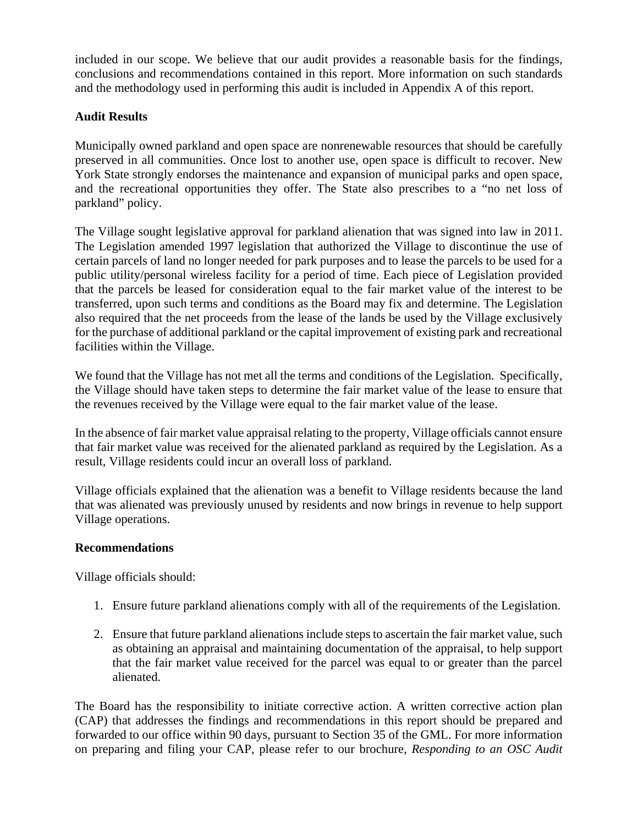included in our scope. We believe that our audit provides a reasonable basis for the findings, conclusions and recommendations contained in this report. More information on such standards and the methodology used in performing this audit is included in Appendix A of this report.

## **Audit Results**

Municipally owned parkland and open space are nonrenewable resources that should be carefully preserved in all communities. Once lost to another use, open space is difficult to recover. New York State strongly endorses the maintenance and expansion of municipal parks and open space, and the recreational opportunities they offer. The State also prescribes to a "no net loss of parkland" policy.

The Village sought legislative approval for parkland alienation that was signed into law in 2011. The Legislation amended 1997 legislation that authorized the Village to discontinue the use of certain parcels of land no longer needed for park purposes and to lease the parcels to be used for a public utility/personal wireless facility for a period of time. Each piece of Legislation provided that the parcels be leased for consideration equal to the fair market value of the interest to be transferred, upon such terms and conditions as the Board may fix and determine. The Legislation also required that the net proceeds from the lease of the lands be used by the Village exclusively for the purchase of additional parkland or the capital improvement of existing park and recreational facilities within the Village.

We found that the Village has not met all the terms and conditions of the Legislation. Specifically, the Village should have taken steps to determine the fair market value of the lease to ensure that the revenues received by the Village were equal to the fair market value of the lease.

In the absence of fair market value appraisal relating to the property, Village officials cannot ensure that fair market value was received for the alienated parkland as required by the Legislation. As a result, Village residents could incur an overall loss of parkland.

Village officials explained that the alienation was a benefit to Village residents because the land that was alienated was previously unused by residents and now brings in revenue to help support Village operations.

## **Recommendations**

Village officials should:

- 1. Ensure future parkland alienations comply with all of the requirements of the Legislation.
- 2. Ensure that future parkland alienations include steps to ascertain the fair market value, such as obtaining an appraisal and maintaining documentation of the appraisal, to help support that the fair market value received for the parcel was equal to or greater than the parcel alienated.

The Board has the responsibility to initiate corrective action. A written corrective action plan (CAP) that addresses the findings and recommendations in this report should be prepared and forwarded to our office within 90 days, pursuant to Section 35 of the GML. For more information on preparing and filing your CAP, please refer to our brochure, *Responding to an OSC Audit*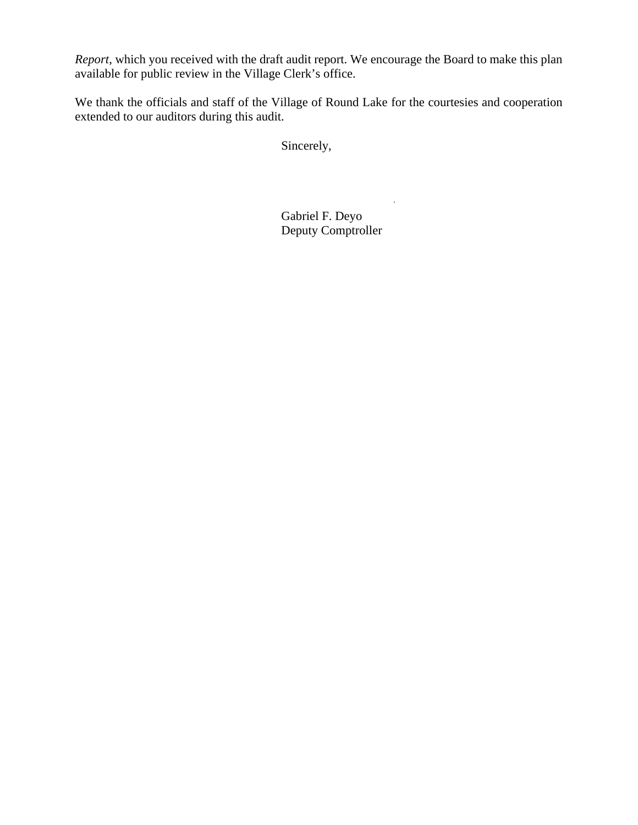*Report*, which you received with the draft audit report. We encourage the Board to make this plan available for public review in the Village Clerk's office.

We thank the officials and staff of the Village of Round Lake for the courtesies and cooperation extended to our auditors during this audit.

Sincerely,

Gabriel F. Deyo Deputy Comptroller